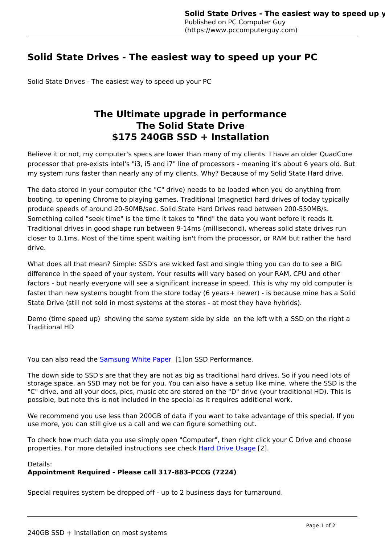## **Solid State Drives - The easiest way to speed up your PC**

Solid State Drives - The easiest way to speed up your PC

## **The Ultimate upgrade in performance The Solid State Drive \$175 240GB SSD + Installation**

Believe it or not, my computer's specs are lower than many of my clients. I have an older QuadCore processor that pre-exists intel's "i3, i5 and i7" line of processors - meaning it's about 6 years old. But my system runs faster than nearly any of my clients. Why? Because of my Solid State Hard drive.

The data stored in your computer (the "C" drive) needs to be loaded when you do anything from booting, to opening Chrome to playing games. Traditional (magnetic) hard drives of today typically produce speeds of around 20-50MB/sec. Solid State Hard Drives read between 200-550MB/s. Something called "seek time" is the time it takes to "find" the data you want before it reads it. Traditional drives in good shape run between 9-14ms (millisecond), whereas solid state drives run closer to 0.1ms. Most of the time spent waiting isn't from the processor, or RAM but rather the hard drive.

What does all that mean? Simple: SSD's are wicked fast and single thing you can do to see a BIG difference in the speed of your system. Your results will vary based on your RAM, CPU and other factors - but nearly everyone will see a significant increase in speed. This is why my old computer is faster than new systems bought from the store today (6 years+ newer) - is because mine has a Solid State Drive (still not sold in most systems at the stores - at most they have hybrids).

Demo (time speed up) showing the same system side by side on the left with a SSD on the right a Traditional HD

You can also read the **Samsung White Paper** [1]on SSD Performance.

The down side to SSD's are that they are not as big as traditional hard drives. So if you need lots of storage space, an SSD may not be for you. You can also have a setup like mine, where the SSD is the "C" drive, and all your docs, pics, music etc are stored on the "D" drive (your traditional HD). This is possible, but note this is not included in the special as it requires additional work.

We recommend you use less than 200GB of data if you want to take advantage of this special. If you use more, you can still give us a call and we can figure something out.

To check how much data you use simply open "Computer", then right click your C Drive and choose properties. For more detailed instructions see check Hard Drive Usage [2].

Details:

## **Appointment Required - Please call 317-883-PCCG (7224)**

Special requires system be dropped off - up to 2 business days for turnaround.